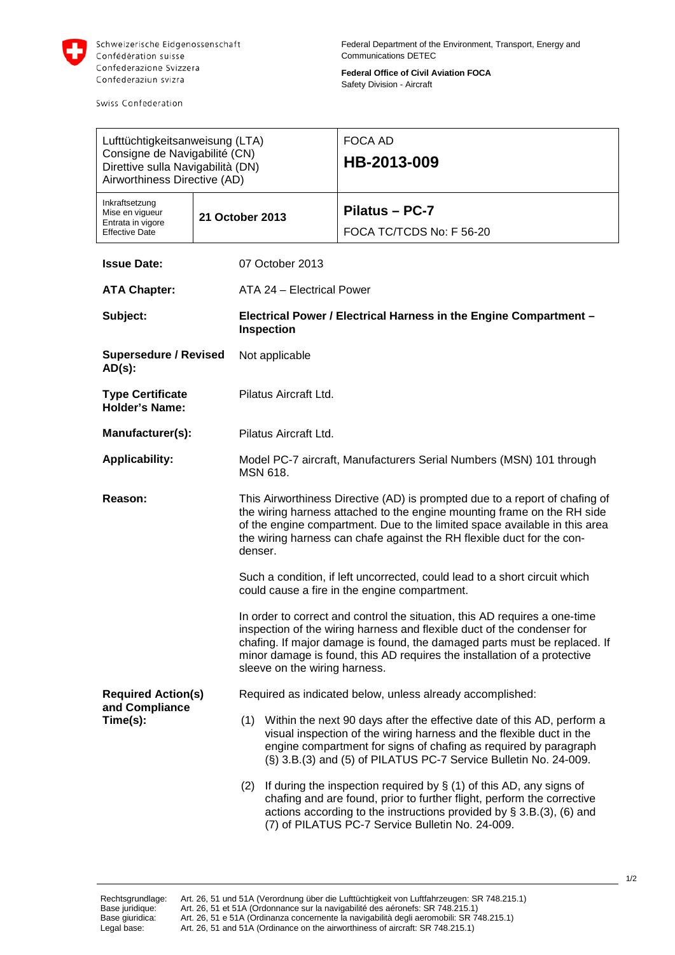

Swiss Confederation

**Federal Office of Civil Aviation FOCA** Safety Division - Aircraft

| Lufttüchtigkeitsanweisung (LTA)                                                                    |  |                                                                                                                                                                                                                                                                                                                                                 |             | <b>FOCA AD</b>                                                                                                                                                                                                                                                                         |  |
|----------------------------------------------------------------------------------------------------|--|-------------------------------------------------------------------------------------------------------------------------------------------------------------------------------------------------------------------------------------------------------------------------------------------------------------------------------------------------|-------------|----------------------------------------------------------------------------------------------------------------------------------------------------------------------------------------------------------------------------------------------------------------------------------------|--|
| Consigne de Navigabilité (CN)<br>Direttive sulla Navigabilità (DN)<br>Airworthiness Directive (AD) |  |                                                                                                                                                                                                                                                                                                                                                 | HB-2013-009 |                                                                                                                                                                                                                                                                                        |  |
| Inkraftsetzung<br>Mise en vigueur<br>Entrata in vigore<br><b>Effective Date</b>                    |  | 21 October 2013                                                                                                                                                                                                                                                                                                                                 |             | Pilatus - PC-7                                                                                                                                                                                                                                                                         |  |
|                                                                                                    |  |                                                                                                                                                                                                                                                                                                                                                 |             | FOCA TC/TCDS No: F 56-20                                                                                                                                                                                                                                                               |  |
| <b>Issue Date:</b>                                                                                 |  | 07 October 2013                                                                                                                                                                                                                                                                                                                                 |             |                                                                                                                                                                                                                                                                                        |  |
| <b>ATA Chapter:</b>                                                                                |  | ATA 24 - Electrical Power                                                                                                                                                                                                                                                                                                                       |             |                                                                                                                                                                                                                                                                                        |  |
| Subject:                                                                                           |  | Electrical Power / Electrical Harness in the Engine Compartment -<br><b>Inspection</b>                                                                                                                                                                                                                                                          |             |                                                                                                                                                                                                                                                                                        |  |
| <b>Supersedure / Revised</b><br>$AD(s)$ :                                                          |  | Not applicable                                                                                                                                                                                                                                                                                                                                  |             |                                                                                                                                                                                                                                                                                        |  |
| <b>Type Certificate</b><br><b>Holder's Name:</b>                                                   |  | Pilatus Aircraft Ltd.                                                                                                                                                                                                                                                                                                                           |             |                                                                                                                                                                                                                                                                                        |  |
| Manufacturer(s):                                                                                   |  | Pilatus Aircraft Ltd.                                                                                                                                                                                                                                                                                                                           |             |                                                                                                                                                                                                                                                                                        |  |
| <b>Applicability:</b>                                                                              |  | Model PC-7 aircraft, Manufacturers Serial Numbers (MSN) 101 through<br><b>MSN 618.</b>                                                                                                                                                                                                                                                          |             |                                                                                                                                                                                                                                                                                        |  |
| Reason:                                                                                            |  | This Airworthiness Directive (AD) is prompted due to a report of chafing of<br>the wiring harness attached to the engine mounting frame on the RH side<br>of the engine compartment. Due to the limited space available in this area<br>the wiring harness can chafe against the RH flexible duct for the con-<br>denser.                       |             |                                                                                                                                                                                                                                                                                        |  |
|                                                                                                    |  | Such a condition, if left uncorrected, could lead to a short circuit which<br>could cause a fire in the engine compartment.                                                                                                                                                                                                                     |             |                                                                                                                                                                                                                                                                                        |  |
|                                                                                                    |  | In order to correct and control the situation, this AD requires a one-time<br>inspection of the wiring harness and flexible duct of the condenser for<br>chafing. If major damage is found, the damaged parts must be replaced. If<br>minor damage is found, this AD requires the installation of a protective<br>sleeve on the wiring harness. |             |                                                                                                                                                                                                                                                                                        |  |
| <b>Required Action(s)</b><br>and Compliance<br>Time(s):                                            |  | Required as indicated below, unless already accomplished:                                                                                                                                                                                                                                                                                       |             |                                                                                                                                                                                                                                                                                        |  |
|                                                                                                    |  | (1)                                                                                                                                                                                                                                                                                                                                             |             | Within the next 90 days after the effective date of this AD, perform a<br>visual inspection of the wiring harness and the flexible duct in the<br>engine compartment for signs of chafing as required by paragraph<br>(§) 3.B.(3) and (5) of PILATUS PC-7 Service Bulletin No. 24-009. |  |
|                                                                                                    |  | (2)                                                                                                                                                                                                                                                                                                                                             |             | If during the inspection required by $\S(1)$ of this AD, any signs of<br>chafing and are found, prior to further flight, perform the corrective<br>actions according to the instructions provided by $\S$ 3.B.(3), (6) and<br>(7) of PILATUS PC-7 Service Bulletin No. 24-009.         |  |